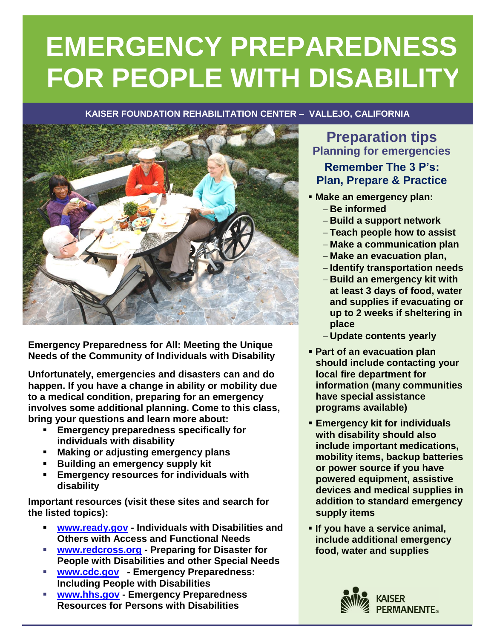# **EMERGENCY PREPAREDNESS FOR PEOPLE WITH DISABILITY**

#### **KAISER FOUNDATION REHABILITATION CENTER – VALLEJO, CALIFORNIA**



**Emergency Preparedness for All: Meeting the Unique Needs of the Community of Individuals with Disability**

**Unfortunately, emergencies and disasters can and do happen. If you have a change in ability or mobility due to a medical condition, preparing for an emergency involves some additional planning. Come to this class, bring your questions and learn more about:**

- **Emergency preparedness specifically for individuals with disability**
- **Making or adjusting emergency plans**
- **Building an emergency supply kit**
- **Emergency resources for individuals with disability**

**Important resources (visit these sites and search for the listed topics):**

- **[www.ready.gov](http://www.ready.gov/) - Individuals with Disabilities and Others with Access and Functional Needs**
- **[www.redcross.org](http://www.redcross.org/) - Preparing for Disaster for People with Disabilities and other Special Needs**
- **[www.cdc.gov](http://www.cdc.gov/) - Emergency Preparedness: Including People with Disabilities**
- **[www.hhs.gov](http://www.hhs.gov/) - Emergency Preparedness Resources for Persons with Disabilities**

## **Preparation tips Planning for emergencies**

### **Remember The 3 P's: Plan, Prepare & Practice**

- **Make an emergency plan: Be informed**
	- **Build a support network**
	- **Teach people how to assist**
	- **Make a communication plan**
	- **Make an evacuation plan,**
	- **Identify transportation needs**
	- **Build an emergency kit with at least 3 days of food, water and supplies if evacuating or up to 2 weeks if sheltering in place**
	- **Update contents yearly**
- **Part of an evacuation plan should include contacting your local fire department for information (many communities have special assistance programs available)**
- **Emergency kit for individuals with disability should also include important medications, mobility items, backup batteries or power source if you have powered equipment, assistive devices and medical supplies in addition to standard emergency supply items**
- **If you have a service animal, include additional emergency food, water and supplies**